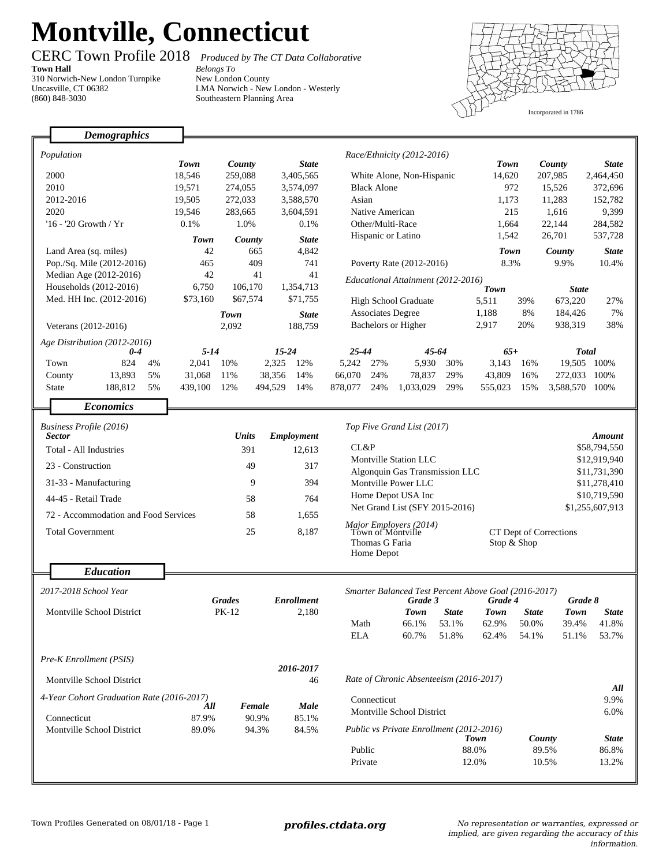## **Montville, Connecticut**

٦

**Town Hall** 310 Norwich-New London Turnpike Uncasville, CT 06382 (860) 848-3030

Г

CERC Town Profile 2018 *Produced by The CT Data Collaborative Belongs To*

New London County LMA Norwich - New London - Westerly Southeastern Planning Area



|                                           | <b>Demographics</b>           |             |                            |           |                   |                                                   |                                      |                                                      |                    |                                       |                |                |                |  |
|-------------------------------------------|-------------------------------|-------------|----------------------------|-----------|-------------------|---------------------------------------------------|--------------------------------------|------------------------------------------------------|--------------------|---------------------------------------|----------------|----------------|----------------|--|
|                                           |                               |             |                            |           |                   |                                                   |                                      |                                                      |                    |                                       |                |                |                |  |
| Population                                |                               | <b>Town</b> | County                     |           | <b>State</b>      | Race/Ethnicity (2012-2016)                        |                                      |                                                      | <b>Town</b>        |                                       | County         | <b>State</b>   |                |  |
|                                           | 2000                          | 18,546      | 259,088                    |           | 3,405,565         | White Alone, Non-Hispanic                         |                                      |                                                      | 14,620             |                                       | 207,985        | 2,464,450      |                |  |
|                                           | 2010                          | 19,571      | 274,055                    |           | 3,574,097         | <b>Black Alone</b>                                |                                      |                                                      | 972                |                                       | 15,526         | 372,696        |                |  |
|                                           | 2012-2016                     | 19,505      | 272,033                    |           | 3,588,570         | Asian                                             |                                      |                                                      | 1,173              |                                       | 11,283         | 152,782        |                |  |
|                                           | 2020                          | 19,546      | 283,665                    |           | 3,604,591         | Native American                                   |                                      |                                                      | 215                |                                       | 1,616          | 9,399          |                |  |
|                                           | '16 - '20 Growth / Yr         | 0.1%        | 1.0%                       |           | 0.1%              | Other/Multi-Race                                  |                                      | 1,664                                                |                    | 22,144                                | 284,582        |                |                |  |
|                                           |                               | Town        | County                     |           | <b>State</b>      | Hispanic or Latino                                |                                      |                                                      | 1,542              |                                       | 26,701         | 537,728        |                |  |
| Land Area (sq. miles)                     |                               | 42          | 665                        |           | 4,842             |                                                   |                                      |                                                      |                    | <b>Town</b>                           |                | County         | <b>State</b>   |  |
| Pop./Sq. Mile (2012-2016)                 |                               | 465         | 409                        |           | 741               | Poverty Rate (2012-2016)                          |                                      |                                                      | 8.3%               |                                       | 9.9%           | 10.4%          |                |  |
|                                           | Median Age (2012-2016)        | 42          |                            | 41        | 41                | Educational Attainment (2012-2016)                |                                      |                                                      |                    |                                       |                |                |                |  |
| Households (2012-2016)                    |                               | 6,750       | 106.170                    |           | 1,354,713         |                                                   |                                      |                                                      |                    | <b>Town</b>                           |                | <b>State</b>   |                |  |
| Med. HH Inc. (2012-2016)                  |                               | \$73,160    | \$67,574                   |           | \$71,755          | <b>High School Graduate</b>                       |                                      |                                                      | 5,511              | 39%                                   | 673,220        | 27%            |                |  |
|                                           |                               |             | Town                       |           | <b>State</b>      |                                                   | <b>Associates Degree</b>             |                                                      | 1,188              | 8%                                    | 184,426        | 7%             |                |  |
|                                           | Veterans (2012-2016)          |             | 2,092                      | 188,759   |                   | Bachelors or Higher                               |                                      |                                                      | 2,917              | 20%                                   | 938,319        | 38%            |                |  |
|                                           | Age Distribution (2012-2016)  |             |                            |           |                   |                                                   |                                      |                                                      |                    |                                       |                |                |                |  |
|                                           | $0-4$                         | $5 - 14$    |                            | $15 - 24$ |                   | $25 - 44$                                         |                                      | 45-64                                                |                    | $65+$                                 |                |                | <b>Total</b>   |  |
|                                           | 824<br>4%<br>Town             | 2,041       | 10%                        | 2,325     | 12%               | 5,242                                             | 27%                                  | 5,930                                                | 30%                | 3.143                                 | 16%            |                | 19,505 100%    |  |
|                                           | 13,893<br>5%<br>County        | 31,068      | 11%                        | 38,356    | 14%               | 66,070                                            | 24%                                  | 78,837                                               | 29%                | 43,809                                | 16%            |                | 272,033 100%   |  |
|                                           | 188,812<br>5%<br><b>State</b> | 439,100     | 12%                        | 494,529   | 14%               | 878,077                                           | 24%                                  | 1,033,029                                            | 29%                | 555,023                               | 15%            | 3,588,570 100% |                |  |
|                                           | <b>Economics</b>              |             |                            |           |                   |                                                   |                                      |                                                      |                    |                                       |                |                |                |  |
|                                           |                               |             |                            |           |                   |                                                   |                                      |                                                      |                    |                                       |                |                |                |  |
| Business Profile (2016)<br>Sector         |                               |             | <b>Units</b><br>Employment |           |                   |                                                   | Top Five Grand List (2017)<br>Amount |                                                      |                    |                                       |                |                |                |  |
| Total - All Industries                    |                               |             | 391                        |           | 12,613            | CL&P                                              |                                      |                                                      |                    |                                       | \$58,794,550   |                |                |  |
|                                           |                               |             |                            |           |                   | <b>Montville Station LLC</b>                      |                                      |                                                      |                    | \$12,919,940                          |                |                |                |  |
|                                           | 23 - Construction             |             | 49                         |           | 317               | Algonquin Gas Transmission LLC<br>\$11,731,390    |                                      |                                                      |                    |                                       |                |                |                |  |
|                                           | 31-33 - Manufacturing         |             | 9<br>394                   |           |                   |                                                   | Montville Power LLC                  |                                                      |                    |                                       |                | \$11,278,410   |                |  |
|                                           | 44-45 - Retail Trade          |             | 58<br>764                  |           |                   |                                                   | Home Depot USA Inc                   |                                                      |                    |                                       |                | \$10,719,590   |                |  |
| 72 - Accommodation and Food Services      |                               |             | 58                         |           |                   | Net Grand List (SFY 2015-2016)<br>\$1,255,607,913 |                                      |                                                      |                    |                                       |                |                |                |  |
|                                           |                               |             | 25                         |           |                   | Major Employers (2014)<br>Town of Montville       |                                      |                                                      |                    |                                       |                |                |                |  |
|                                           | <b>Total Government</b>       |             |                            |           |                   | Thomas G Faria                                    |                                      |                                                      |                    | CT Dept of Corrections<br>Stop & Shop |                |                |                |  |
|                                           |                               |             |                            |           |                   |                                                   | Home Depot                           |                                                      |                    |                                       |                |                |                |  |
|                                           |                               |             |                            |           |                   |                                                   |                                      |                                                      |                    |                                       |                |                |                |  |
|                                           | <b>Education</b>              |             |                            |           |                   |                                                   |                                      |                                                      |                    |                                       |                |                |                |  |
|                                           | 2017-2018 School Year         |             |                            |           |                   |                                                   |                                      | Smarter Balanced Test Percent Above Goal (2016-2017) |                    |                                       |                |                |                |  |
|                                           |                               |             | <b>Grades</b>              |           | <b>Enrollment</b> | Grade 3                                           |                                      |                                                      | Grade 8<br>Grade 4 |                                       |                |                |                |  |
|                                           | Montville School District     |             | PK-12                      |           | 2,180             |                                                   |                                      | Town                                                 | State              | Town                                  | <b>State</b>   | Town           | <b>State</b>   |  |
|                                           |                               |             |                            |           |                   | Math<br><b>ELA</b>                                |                                      | 66.1%<br>60.7%                                       | 53.1%<br>51.8%     | 62.9%<br>62.4%                        | 50.0%<br>54.1% | 39.4%<br>51.1% | 41.8%<br>53.7% |  |
|                                           |                               |             |                            |           |                   |                                                   |                                      |                                                      |                    |                                       |                |                |                |  |
|                                           | Pre-K Enrollment (PSIS)       |             |                            |           |                   |                                                   |                                      |                                                      |                    |                                       |                |                |                |  |
|                                           |                               |             |                            |           | 2016-2017         |                                                   |                                      |                                                      |                    |                                       |                |                |                |  |
| Montville School District                 |                               |             | 46                         |           |                   | Rate of Chronic Absenteeism (2016-2017)           |                                      |                                                      |                    |                                       |                |                |                |  |
| 4-Year Cohort Graduation Rate (2016-2017) |                               |             | All<br><b>Female</b>       |           |                   |                                                   | Connecticut                          |                                                      |                    |                                       |                |                | All<br>9.9%    |  |
|                                           |                               |             |                            |           | Male              | Montville School District                         |                                      |                                                      |                    |                                       | 6.0%           |                |                |  |
| Connecticut                               |                               | 87.9%       | 90.9%                      |           | 85.1%             |                                                   |                                      |                                                      |                    |                                       |                |                |                |  |
|                                           | Montville School District     | 89.0%       | 94.3%                      |           | 84.5%             | Public vs Private Enrollment (2012-2016)          |                                      |                                                      | Town               |                                       | County         | <b>State</b>   |                |  |
|                                           |                               |             |                            |           |                   | Public                                            |                                      |                                                      |                    | 88.0%                                 |                | 89.5%          | 86.8%          |  |
|                                           |                               |             |                            |           |                   | Private                                           |                                      |                                                      |                    | 12.0%                                 |                | 10.5%          | 13.2%          |  |
|                                           |                               |             |                            |           |                   |                                                   |                                      |                                                      |                    |                                       |                |                |                |  |